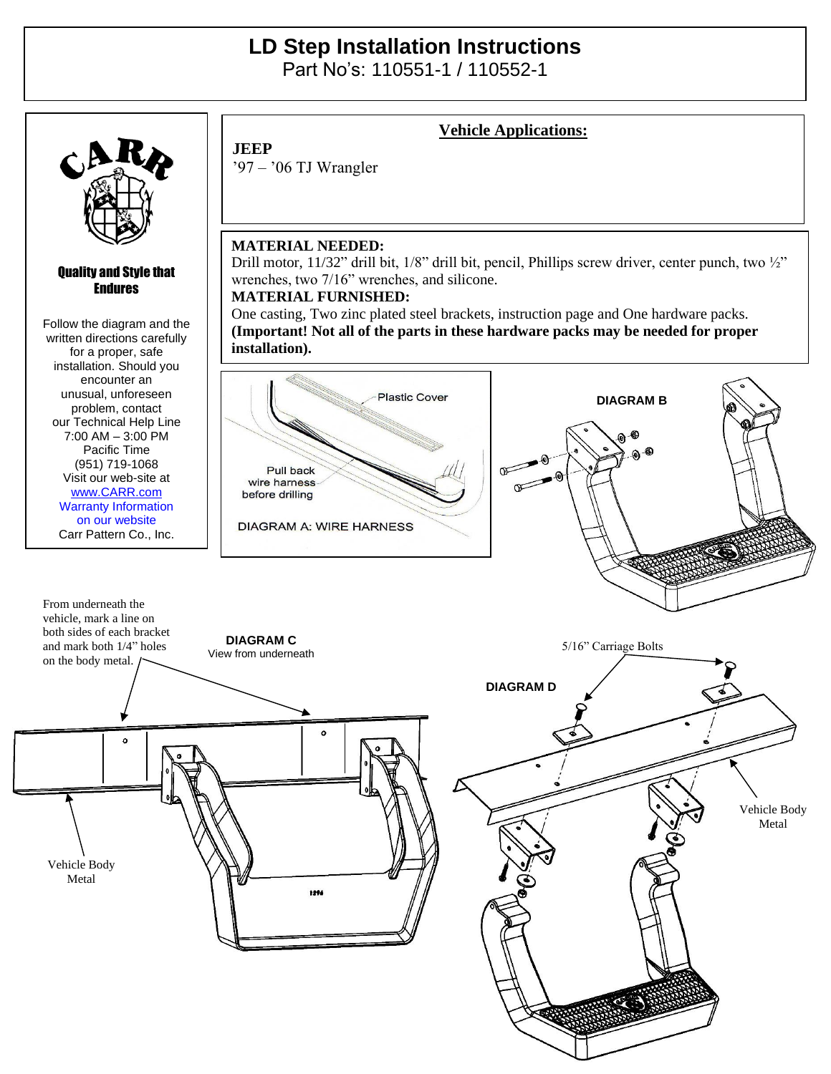## **LD Step Installation Instructions**

Part No's: 110551-1 / 110552-1



Vehicle Body Metal